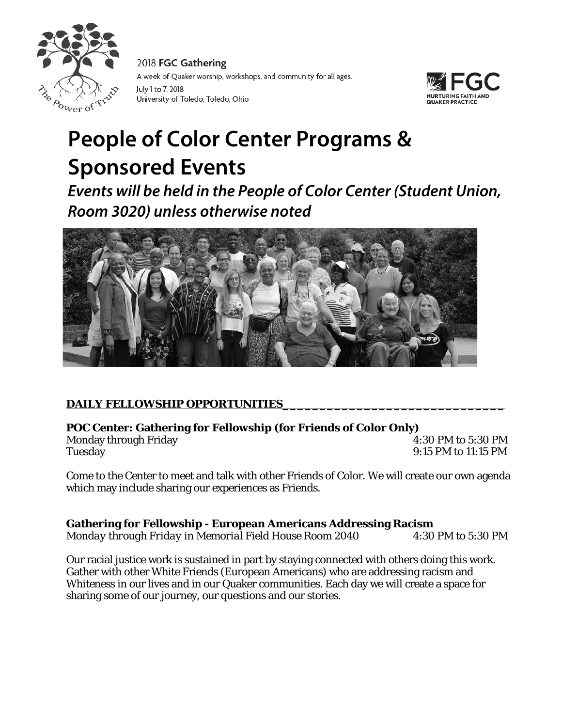

2018 FGC Gathering A week of Quaker worship, workshops, and community for all ages. July 1 to 7, 2018 University of Toledo, Toledo, Ohio



# **People of Color Center Programs & Sponsored Events**

*Events will be held in the People of Color Center (Student Union, Room 3020) unless otherwise noted*



# DAILY FELLOWSHIP OPPORTUNITIES

# **POC Center: Gathering for Fellowship (for Friends of Color Only)**

Tuesday 9:15 PM to 11:15 PM

Monday through Friday **Example 2:30 PM** to 5:30 PM

Come to the Center to meet and talk with other Friends of Color. We will create our own agenda which may include sharing our experiences as Friends.

# **Gathering for Fellowship - European Americans Addressing Racism**

*Monday through Friday in Memorial Field House Room 2040* 4:30 PM to 5:30 PM

Our racial justice work is sustained in part by staying connected with others doing this work. Gather with other White Friends (European Americans) who are addressing racism and Whiteness in our lives and in our Quaker communities. Each day we will create a space for sharing some of our journey, our questions and our stories.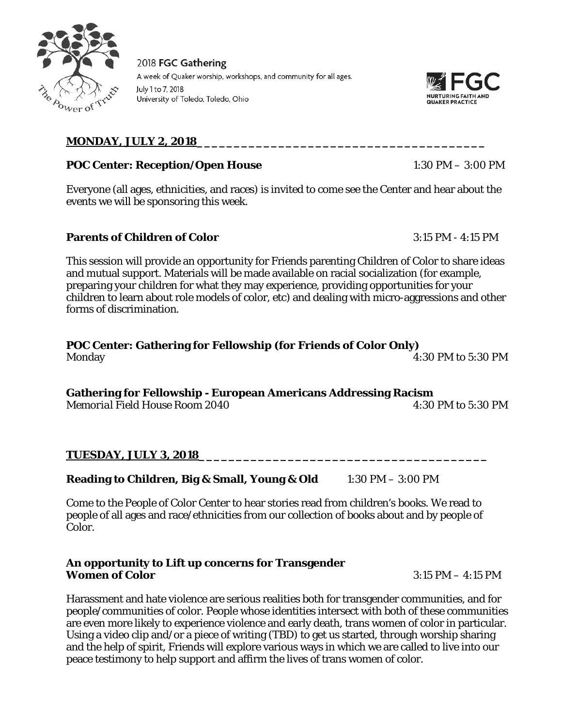

2018 FGC Gathering A week of Quaker worship, workshops, and community for all ages. July 1 to 7, 2018 University of Toledo, Toledo, Ohio



## **MONDAY, JULY 2, 2018\_\_\_\_\_\_\_\_\_\_\_\_\_\_\_\_\_\_\_\_\_\_\_\_\_\_\_\_\_\_\_\_\_\_\_\_\_\_\_**

#### **POC Center: Reception/Open House** 1:30 PM – 3:00 PM

Everyone (all ages, ethnicities, and races) is invited to come see the Center and hear about the events we will be sponsoring this week.

#### **Parents of Children of Color** 3:15 PM - 4:15 PM

This session will provide an opportunity for Friends parenting Children of Color to share ideas and mutual support. Materials will be made available on racial socialization (for example, preparing your children for what they may experience, providing opportunities for your children to learn about role models of color, etc) and dealing with micro-aggressions and other forms of discrimination.

#### **POC Center: Gathering for Fellowship (for Friends of Color Only)** Monday 4:30 PM to 5:30 PM

**Gathering for Fellowship - European Americans Addressing Racism** *Memorial Field House Room 2040* 4:30 PM to 5:30 PM

#### **TUESDAY, JULY 3, 2018\_\_\_\_\_\_\_\_\_\_\_\_\_\_\_\_\_\_\_\_\_\_\_\_\_\_\_\_\_\_\_\_\_\_\_\_\_\_\_**

#### **Reading to Children, Big & Small, Young & Old** 1:30 PM – 3:00 PM

Come to the People of Color Center to hear stories read from children's books. We read to people of all ages and race/ethnicities from our collection of books about and by people of Color.

#### **An opportunity to Lift up concerns for Transgender Women of Color** 3:15 PM – 4:15 PM

Harassment and hate violence are serious realities both for transgender communities, and for people/communities of color. People whose identities intersect with both of these communities are even more likely to experience violence and early death, trans women of color in particular. Using a video clip and/or a piece of writing (TBD) to get us started, through worship sharing and the help of spirit, Friends will explore various ways in which we are called to live into our peace testimony to help support and affirm the lives of trans women of color.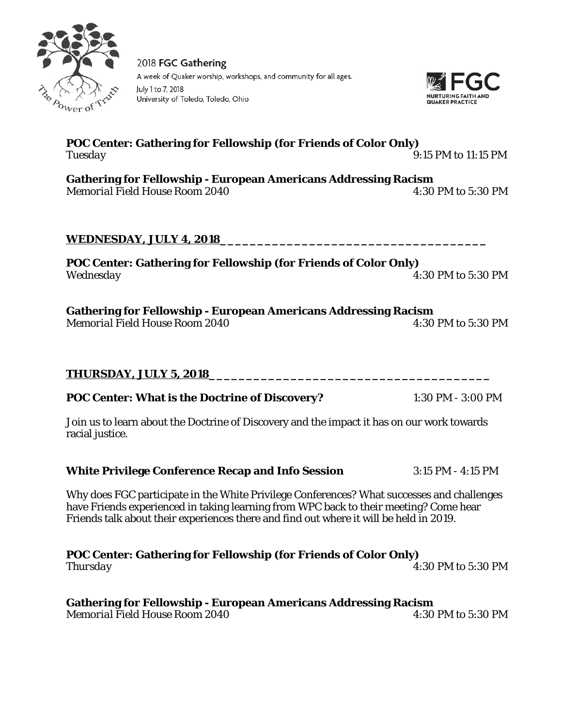2018 FGC Gathering A week of Quaker worship, workshops, and community for all ages. University of Toledo, Toledo, Ohio

## **POC Center: Gathering for Fellowship (for Friends of Color Only)** *Tuesday* 9:15 PM to 11:15 PM

**Gathering for Fellowship - European Americans Addressing Racism** *Memorial Field House Room 2040* 4:30 PM to 5:30 PM

#### **WEDNESDAY, JULY 4, 2018\_\_\_\_\_\_\_\_\_\_\_\_\_\_\_\_\_\_\_\_\_\_\_\_\_\_\_\_\_\_\_\_\_\_\_\_**

**POC Center: Gathering for Fellowship (for Friends of Color Only)** *Wednesday* 4:30 PM to 5:30 PM

**Gathering for Fellowship - European Americans Addressing Racism** *Memorial Field House Room 2040* 4:30 PM to 5:30 PM

# **THURSDAY, JULY 5, 2018\_\_\_\_\_\_\_\_\_\_\_\_\_\_\_\_\_\_\_\_\_\_\_\_\_\_\_\_\_\_\_\_\_\_\_\_\_\_**

# **POC Center: What is the Doctrine of Discovery?** 1:30 PM - 3:00 PM

Join us to learn about the Doctrine of Discovery and the impact it has on our work towards racial justice.

#### **White Privilege Conference Recap and Info Session** 3:15 PM - 4:15 PM

Why does FGC participate in the White Privilege Conferences? What successes and challenges have Friends experienced in taking learning from WPC back to their meeting? Come hear Friends talk about their experiences there and find out where it will be held in 2019.

**POC Center: Gathering for Fellowship (for Friends of Color Only)** *Thursday* 4:30 PM to 5:30 PM

#### **Gathering for Fellowship - European Americans Addressing Racism** *Memorial Field House Room 2040* **120 April 120 April 120 April 120 April 120 April 130 PM to 5:30 PM**

July 1 to 7, 2018